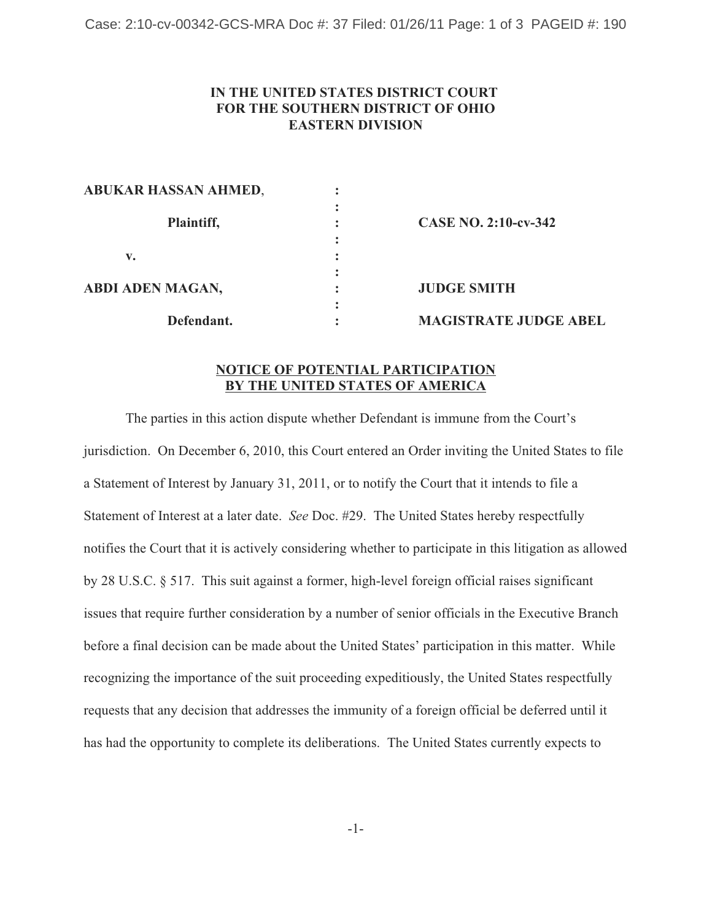## **IN THE UNITED STATES DISTRICT COURT FOR THE SOUTHERN DISTRICT OF OHIO EASTERN DIVISION**

| ABUKAR HASSAN AHMED,    |   |                              |
|-------------------------|---|------------------------------|
| Plaintiff,              |   | <b>CASE NO. 2:10-cv-342</b>  |
|                         |   |                              |
| v.                      |   |                              |
|                         |   |                              |
| <b>ABDI ADEN MAGAN,</b> | ٠ | <b>JUDGE SMITH</b>           |
| Defendant.              |   | <b>MAGISTRATE JUDGE ABEL</b> |
|                         |   |                              |

**ABUKAR HASSAN AHMED**, **:**

## **NOTICE OF POTENTIAL PARTICIPATION BY THE UNITED STATES OF AMERICA**

The parties in this action dispute whether Defendant is immune from the Court's jurisdiction. On December 6, 2010, this Court entered an Order inviting the United States to file a Statement of Interest by January 31, 2011, or to notify the Court that it intends to file a Statement of Interest at a later date. *See* Doc. #29. The United States hereby respectfully notifies the Court that it is actively considering whether to participate in this litigation as allowed by 28 U.S.C. § 517. This suit against a former, high-level foreign official raises significant issues that require further consideration by a number of senior officials in the Executive Branch before a final decision can be made about the United States' participation in this matter. While recognizing the importance of the suit proceeding expeditiously, the United States respectfully requests that any decision that addresses the immunity of a foreign official be deferred until it has had the opportunity to complete its deliberations. The United States currently expects to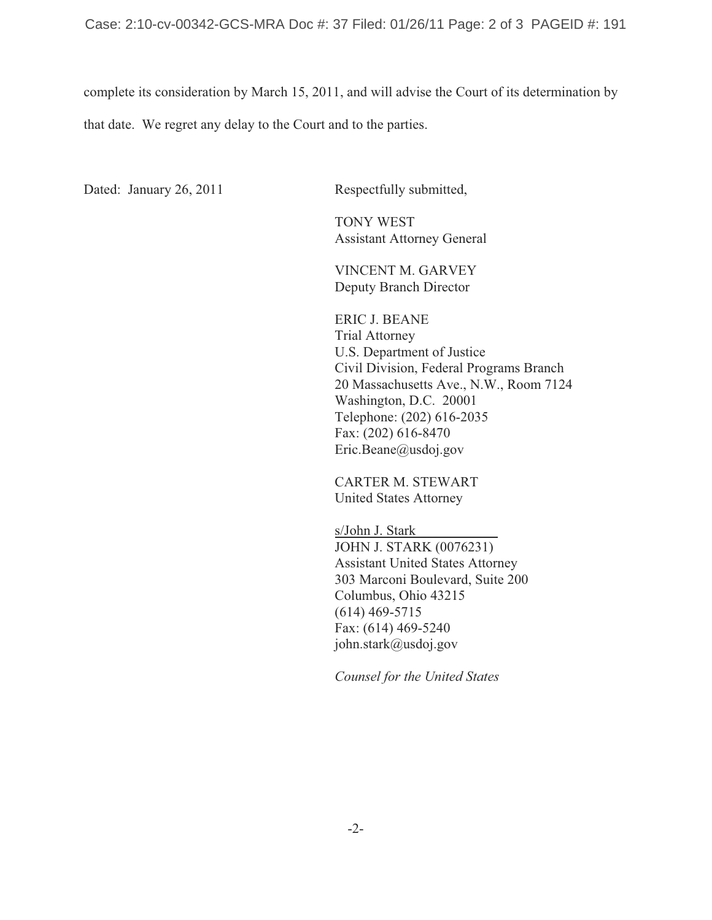complete its consideration by March 15, 2011, and will advise the Court of its determination by that date. We regret any delay to the Court and to the parties.

Dated: January 26, 2011 Respectfully submitted,

 TONY WEST Assistant Attorney General

VINCENT M. GARVEY Deputy Branch Director

 ERIC J. BEANE Trial Attorney U.S. Department of Justice Civil Division, Federal Programs Branch 20 Massachusetts Ave., N.W., Room 7124 Washington, D.C. 20001 Telephone: (202) 616-2035 Fax: (202) 616-8470 Eric.Beane@usdoj.gov

CARTER M. STEWART United States Attorney

s/John J. Stark JOHN J. STARK (0076231) Assistant United States Attorney 303 Marconi Boulevard, Suite 200 Columbus, Ohio 43215 (614) 469-5715 Fax: (614) 469-5240 john.stark@usdoj.gov

*Counsel for the United States*